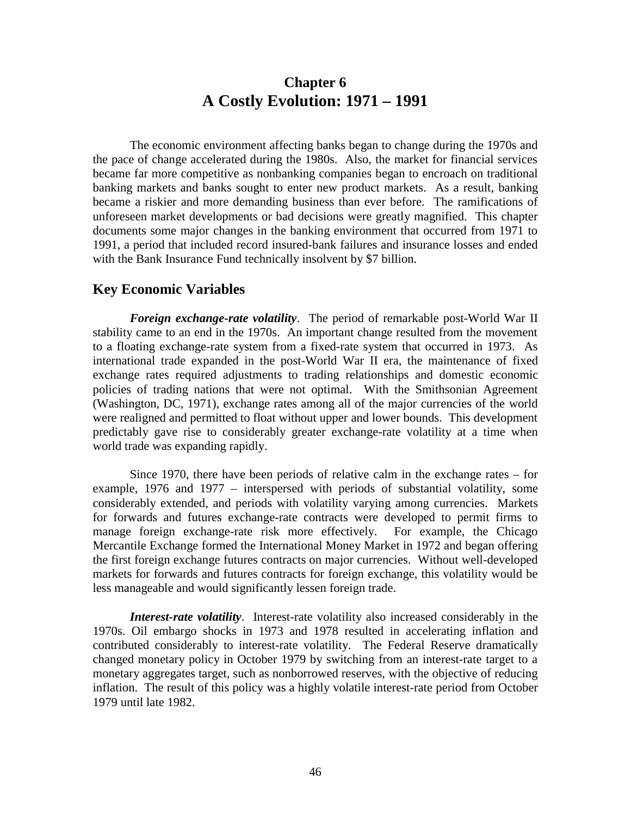## **Chapter 6 A Costly Evolution: 1971 – 1991**

The economic environment affecting banks began to change during the 1970s and the pace of change accelerated during the 1980s. Also, the market for financial services became far more competitive as nonbanking companies began to encroach on traditional banking markets and banks sought to enter new product markets. As a result, banking became a riskier and more demanding business than ever before. The ramifications of unforeseen market developments or bad decisions were greatly magnified. This chapter documents some major changes in the banking environment that occurred from 1971 to 1991, a period that included record insured-bank failures and insurance losses and ended with the Bank Insurance Fund technically insolvent by \$7 billion.

### **Key Economic Variables**

*Foreign exchange-rate volatility*. The period of remarkable post-World War II stability came to an end in the 1970s. An important change resulted from the movement to a floating exchange-rate system from a fixed-rate system that occurred in 1973. As international trade expanded in the post-World War II era, the maintenance of fixed exchange rates required adjustments to trading relationships and domestic economic policies of trading nations that were not optimal. With the Smithsonian Agreement (Washington, DC, 1971), exchange rates among all of the major currencies of the world were realigned and permitted to float without upper and lower bounds. This development predictably gave rise to considerably greater exchange-rate volatility at a time when world trade was expanding rapidly.

Since 1970, there have been periods of relative calm in the exchange rates – for example, 1976 and 1977 – interspersed with periods of substantial volatility, some considerably extended, and periods with volatility varying among currencies. Markets for forwards and futures exchange-rate contracts were developed to permit firms to manage foreign exchange-rate risk more effectively. For example, the Chicago Mercantile Exchange formed the International Money Market in 1972 and began offering the first foreign exchange futures contracts on major currencies. Without well-developed markets for forwards and futures contracts for foreign exchange, this volatility would be less manageable and would significantly lessen foreign trade.

*Interest-rate volatility*. Interest-rate volatility also increased considerably in the 1970s. Oil embargo shocks in 1973 and 1978 resulted in accelerating inflation and contributed considerably to interest-rate volatility. The Federal Reserve dramatically changed monetary policy in October 1979 by switching from an interest-rate target to a monetary aggregates target, such as nonborrowed reserves, with the objective of reducing inflation. The result of this policy was a highly volatile interest-rate period from October 1979 until late 1982.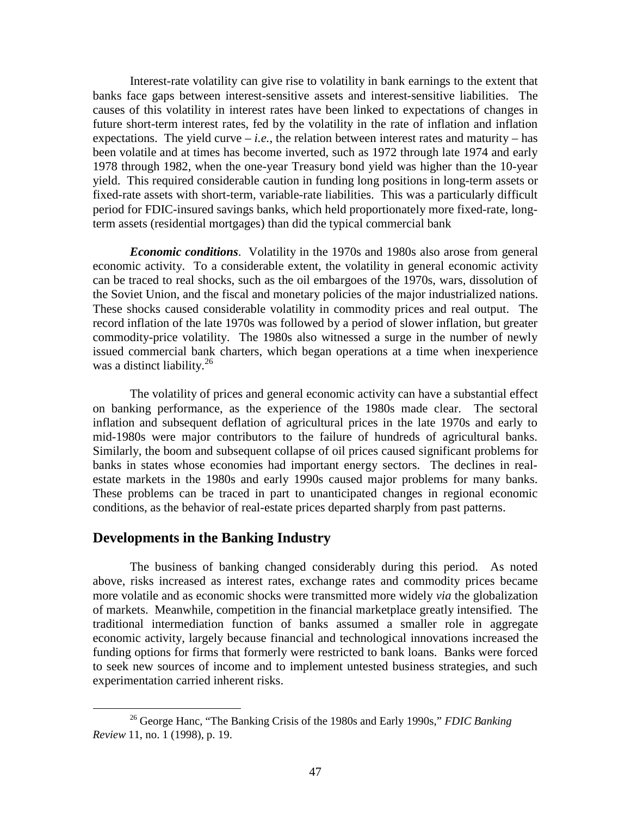Interest-rate volatility can give rise to volatility in bank earnings to the extent that banks face gaps between interest-sensitive assets and interest-sensitive liabilities. The causes of this volatility in interest rates have been linked to expectations of changes in future short-term interest rates, fed by the volatility in the rate of inflation and inflation expectations. The yield curve  $-i.e.,$  the relation between interest rates and maturity – has been volatile and at times has become inverted, such as 1972 through late 1974 and early 1978 through 1982, when the one-year Treasury bond yield was higher than the 10-year yield. This required considerable caution in funding long positions in long-term assets or fixed-rate assets with short-term, variable-rate liabilities. This was a particularly difficult period for FDIC-insured savings banks, which held proportionately more fixed-rate, longterm assets (residential mortgages) than did the typical commercial bank

*Economic conditions*. Volatility in the 1970s and 1980s also arose from general economic activity. To a considerable extent, the volatility in general economic activity can be traced to real shocks, such as the oil embargoes of the 1970s, wars, dissolution of the Soviet Union, and the fiscal and monetary policies of the major industrialized nations. These shocks caused considerable volatility in commodity prices and real output. The record inflation of the late 1970s was followed by a period of slower inflation, but greater commodity-price volatility. The 1980s also witnessed a surge in the number of newly issued commercial bank charters, which began operations at a time when inexperience was a distinct liability.<sup>26</sup>

The volatility of prices and general economic activity can have a substantial effect on banking performance, as the experience of the 1980s made clear. The sectoral inflation and subsequent deflation of agricultural prices in the late 1970s and early to mid-1980s were major contributors to the failure of hundreds of agricultural banks. Similarly, the boom and subsequent collapse of oil prices caused significant problems for banks in states whose economies had important energy sectors. The declines in realestate markets in the 1980s and early 1990s caused major problems for many banks. These problems can be traced in part to unanticipated changes in regional economic conditions, as the behavior of real-estate prices departed sharply from past patterns.

### **Developments in the Banking Industry**

The business of banking changed considerably during this period. As noted above, risks increased as interest rates, exchange rates and commodity prices became more volatile and as economic shocks were transmitted more widely *via* the globalization of markets. Meanwhile, competition in the financial marketplace greatly intensified. The traditional intermediation function of banks assumed a smaller role in aggregate economic activity, largely because financial and technological innovations increased the funding options for firms that formerly were restricted to bank loans. Banks were forced to seek new sources of income and to implement untested business strategies, and such experimentation carried inherent risks.

 <sup>26</sup> George Hanc, "The Banking Crisis of the 1980s and Early 1990s," *FDIC Banking Review* 11, no. 1 (1998), p. 19.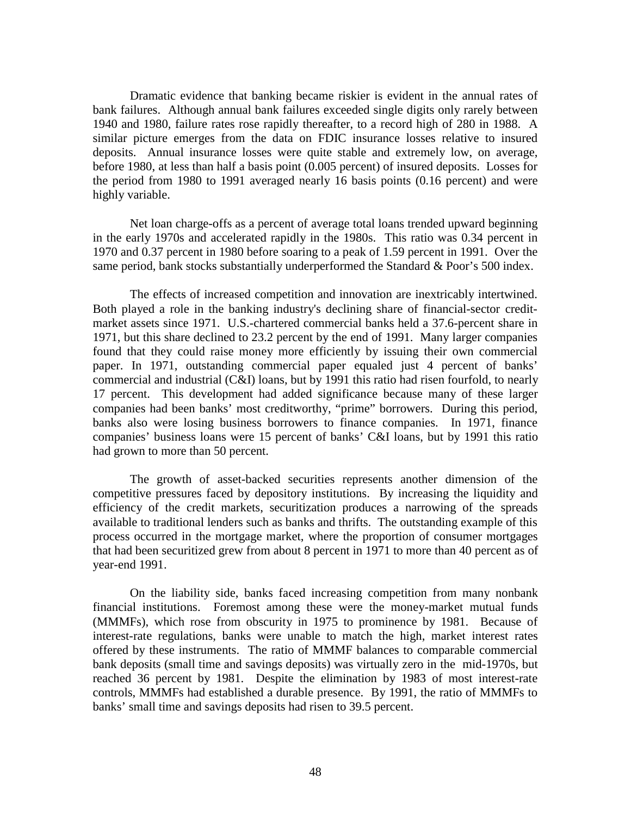Dramatic evidence that banking became riskier is evident in the annual rates of bank failures. Although annual bank failures exceeded single digits only rarely between 1940 and 1980, failure rates rose rapidly thereafter, to a record high of 280 in 1988. A similar picture emerges from the data on FDIC insurance losses relative to insured deposits. Annual insurance losses were quite stable and extremely low, on average, before 1980, at less than half a basis point (0.005 percent) of insured deposits. Losses for the period from 1980 to 1991 averaged nearly 16 basis points (0.16 percent) and were highly variable.

Net loan charge-offs as a percent of average total loans trended upward beginning in the early 1970s and accelerated rapidly in the 1980s. This ratio was 0.34 percent in 1970 and 0.37 percent in 1980 before soaring to a peak of 1.59 percent in 1991. Over the same period, bank stocks substantially underperformed the Standard & Poor's 500 index.

The effects of increased competition and innovation are inextricably intertwined. Both played a role in the banking industry's declining share of financial-sector creditmarket assets since 1971. U.S.-chartered commercial banks held a 37.6-percent share in 1971, but this share declined to 23.2 percent by the end of 1991. Many larger companies found that they could raise money more efficiently by issuing their own commercial paper. In 1971, outstanding commercial paper equaled just 4 percent of banks' commercial and industrial (C&I) loans, but by 1991 this ratio had risen fourfold, to nearly 17 percent. This development had added significance because many of these larger companies had been banks' most creditworthy, "prime" borrowers. During this period, banks also were losing business borrowers to finance companies. In 1971, finance companies' business loans were 15 percent of banks' C&I loans, but by 1991 this ratio had grown to more than 50 percent.

The growth of asset-backed securities represents another dimension of the competitive pressures faced by depository institutions. By increasing the liquidity and efficiency of the credit markets, securitization produces a narrowing of the spreads available to traditional lenders such as banks and thrifts. The outstanding example of this process occurred in the mortgage market, where the proportion of consumer mortgages that had been securitized grew from about 8 percent in 1971 to more than 40 percent as of year-end 1991.

On the liability side, banks faced increasing competition from many nonbank financial institutions. Foremost among these were the money-market mutual funds (MMMFs), which rose from obscurity in 1975 to prominence by 1981. Because of interest-rate regulations, banks were unable to match the high, market interest rates offered by these instruments. The ratio of MMMF balances to comparable commercial bank deposits (small time and savings deposits) was virtually zero in the mid-1970s, but reached 36 percent by 1981. Despite the elimination by 1983 of most interest-rate controls, MMMFs had established a durable presence. By 1991, the ratio of MMMFs to banks' small time and savings deposits had risen to 39.5 percent.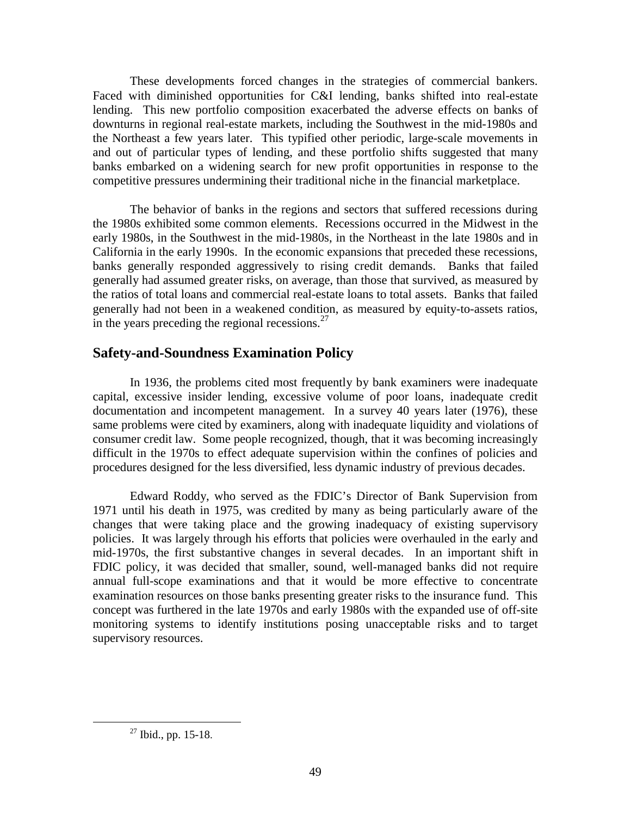These developments forced changes in the strategies of commercial bankers. Faced with diminished opportunities for C&I lending, banks shifted into real-estate lending. This new portfolio composition exacerbated the adverse effects on banks of downturns in regional real-estate markets, including the Southwest in the mid-1980s and the Northeast a few years later. This typified other periodic, large-scale movements in and out of particular types of lending, and these portfolio shifts suggested that many banks embarked on a widening search for new profit opportunities in response to the competitive pressures undermining their traditional niche in the financial marketplace.

The behavior of banks in the regions and sectors that suffered recessions during the 1980s exhibited some common elements. Recessions occurred in the Midwest in the early 1980s, in the Southwest in the mid-1980s, in the Northeast in the late 1980s and in California in the early 1990s. In the economic expansions that preceded these recessions, banks generally responded aggressively to rising credit demands. Banks that failed generally had assumed greater risks, on average, than those that survived, as measured by the ratios of total loans and commercial real-estate loans to total assets. Banks that failed generally had not been in a weakened condition, as measured by equity-to-assets ratios, in the years preceding the regional recessions. $^{27}$ 

## **Safety-and-Soundness Examination Policy**

In 1936, the problems cited most frequently by bank examiners were inadequate capital, excessive insider lending, excessive volume of poor loans, inadequate credit documentation and incompetent management. In a survey 40 years later (1976), these same problems were cited by examiners, along with inadequate liquidity and violations of consumer credit law. Some people recognized, though, that it was becoming increasingly difficult in the 1970s to effect adequate supervision within the confines of policies and procedures designed for the less diversified, less dynamic industry of previous decades.

Edward Roddy, who served as the FDIC's Director of Bank Supervision from 1971 until his death in 1975, was credited by many as being particularly aware of the changes that were taking place and the growing inadequacy of existing supervisory policies. It was largely through his efforts that policies were overhauled in the early and mid-1970s, the first substantive changes in several decades. In an important shift in FDIC policy, it was decided that smaller, sound, well-managed banks did not require annual full-scope examinations and that it would be more effective to concentrate examination resources on those banks presenting greater risks to the insurance fund. This concept was furthered in the late 1970s and early 1980s with the expanded use of off-site monitoring systems to identify institutions posing unacceptable risks and to target supervisory resources.

 <sup>27</sup> Ibid., pp. 15-18.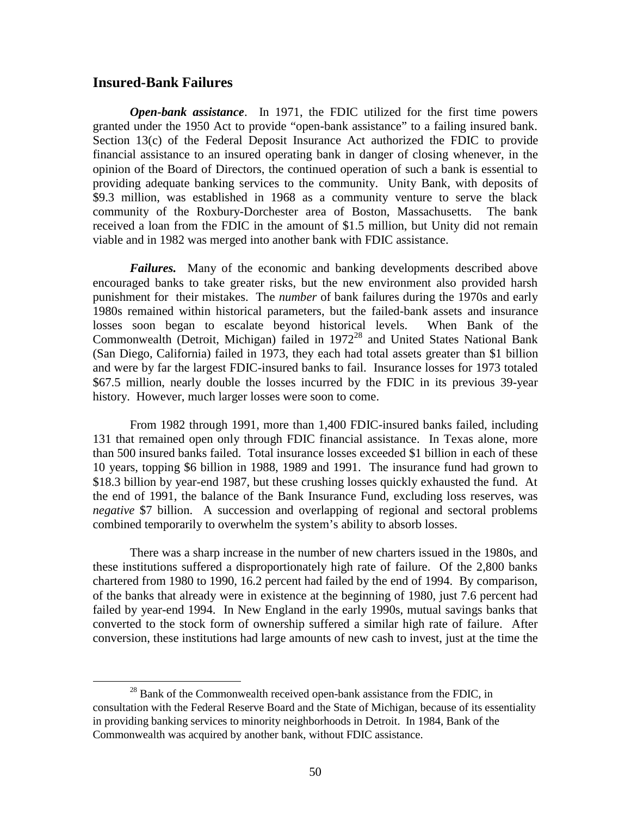### **Insured-Bank Failures**

*Open-bank assistance*. In 1971, the FDIC utilized for the first time powers granted under the 1950 Act to provide "open-bank assistance" to a failing insured bank. Section 13(c) of the Federal Deposit Insurance Act authorized the FDIC to provide financial assistance to an insured operating bank in danger of closing whenever, in the opinion of the Board of Directors, the continued operation of such a bank is essential to providing adequate banking services to the community. Unity Bank, with deposits of \$9.3 million, was established in 1968 as a community venture to serve the black community of the Roxbury-Dorchester area of Boston, Massachusetts. The bank received a loan from the FDIC in the amount of \$1.5 million, but Unity did not remain viable and in 1982 was merged into another bank with FDIC assistance.

*Failures.* Many of the economic and banking developments described above encouraged banks to take greater risks, but the new environment also provided harsh punishment for their mistakes. The *number* of bank failures during the 1970s and early 1980s remained within historical parameters, but the failed-bank assets and insurance losses soon began to escalate beyond historical levels. When Bank of the Commonwealth (Detroit, Michigan) failed in 197228 and United States National Bank (San Diego, California) failed in 1973, they each had total assets greater than \$1 billion and were by far the largest FDIC-insured banks to fail. Insurance losses for 1973 totaled \$67.5 million, nearly double the losses incurred by the FDIC in its previous 39-year history. However, much larger losses were soon to come.

From 1982 through 1991, more than 1,400 FDIC-insured banks failed, including 131 that remained open only through FDIC financial assistance. In Texas alone, more than 500 insured banks failed. Total insurance losses exceeded \$1 billion in each of these 10 years, topping \$6 billion in 1988, 1989 and 1991. The insurance fund had grown to \$18.3 billion by year-end 1987, but these crushing losses quickly exhausted the fund. At the end of 1991, the balance of the Bank Insurance Fund, excluding loss reserves, was *negative* \$7 billion. A succession and overlapping of regional and sectoral problems combined temporarily to overwhelm the system's ability to absorb losses.

There was a sharp increase in the number of new charters issued in the 1980s, and these institutions suffered a disproportionately high rate of failure. Of the 2,800 banks chartered from 1980 to 1990, 16.2 percent had failed by the end of 1994. By comparison, of the banks that already were in existence at the beginning of 1980, just 7.6 percent had failed by year-end 1994. In New England in the early 1990s, mutual savings banks that converted to the stock form of ownership suffered a similar high rate of failure. After conversion, these institutions had large amounts of new cash to invest, just at the time the

 $^{28}$  Bank of the Commonwealth received open-bank assistance from the FDIC, in consultation with the Federal Reserve Board and the State of Michigan, because of its essentiality in providing banking services to minority neighborhoods in Detroit. In 1984, Bank of the Commonwealth was acquired by another bank, without FDIC assistance.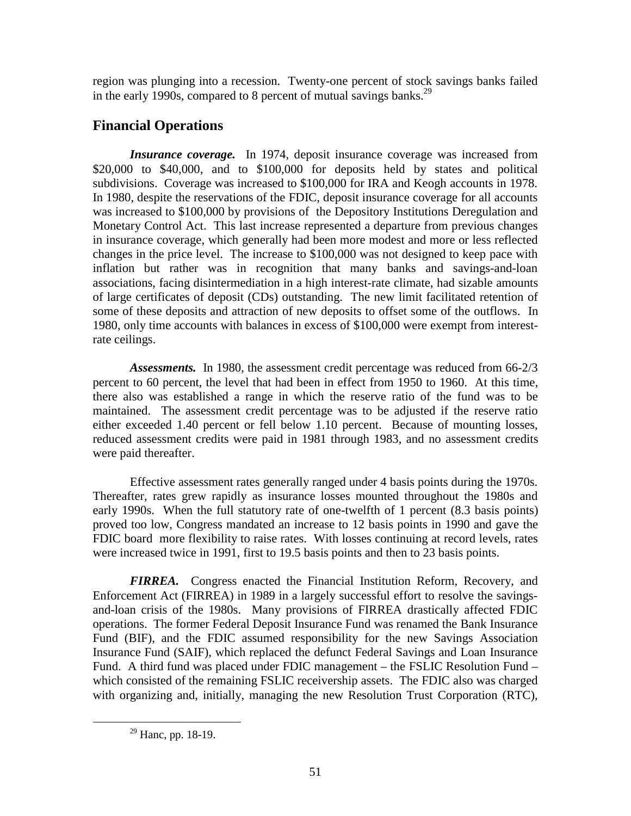region was plunging into a recession. Twenty-one percent of stock savings banks failed in the early 1990s, compared to 8 percent of mutual savings banks.<sup>29</sup>

# **Financial Operations**

*Insurance coverage.* In 1974, deposit insurance coverage was increased from \$20,000 to \$40,000, and to \$100,000 for deposits held by states and political subdivisions. Coverage was increased to \$100,000 for IRA and Keogh accounts in 1978. In 1980, despite the reservations of the FDIC, deposit insurance coverage for all accounts was increased to \$100,000 by provisions of the Depository Institutions Deregulation and Monetary Control Act. This last increase represented a departure from previous changes in insurance coverage, which generally had been more modest and more or less reflected changes in the price level. The increase to \$100,000 was not designed to keep pace with inflation but rather was in recognition that many banks and savings-and-loan associations, facing disintermediation in a high interest-rate climate, had sizable amounts of large certificates of deposit (CDs) outstanding. The new limit facilitated retention of some of these deposits and attraction of new deposits to offset some of the outflows. In 1980, only time accounts with balances in excess of \$100,000 were exempt from interestrate ceilings.

*Assessments.* In 1980, the assessment credit percentage was reduced from 66-2/3 percent to 60 percent, the level that had been in effect from 1950 to 1960. At this time, there also was established a range in which the reserve ratio of the fund was to be maintained. The assessment credit percentage was to be adjusted if the reserve ratio either exceeded 1.40 percent or fell below 1.10 percent. Because of mounting losses, reduced assessment credits were paid in 1981 through 1983, and no assessment credits were paid thereafter.

Effective assessment rates generally ranged under 4 basis points during the 1970s. Thereafter, rates grew rapidly as insurance losses mounted throughout the 1980s and early 1990s. When the full statutory rate of one-twelfth of 1 percent (8.3 basis points) proved too low, Congress mandated an increase to 12 basis points in 1990 and gave the FDIC board more flexibility to raise rates. With losses continuing at record levels, rates were increased twice in 1991, first to 19.5 basis points and then to 23 basis points.

*FIRREA.* Congress enacted the Financial Institution Reform, Recovery, and Enforcement Act (FIRREA) in 1989 in a largely successful effort to resolve the savingsand-loan crisis of the 1980s. Many provisions of FIRREA drastically affected FDIC operations. The former Federal Deposit Insurance Fund was renamed the Bank Insurance Fund (BIF), and the FDIC assumed responsibility for the new Savings Association Insurance Fund (SAIF), which replaced the defunct Federal Savings and Loan Insurance Fund. A third fund was placed under FDIC management – the FSLIC Resolution Fund – which consisted of the remaining FSLIC receivership assets. The FDIC also was charged with organizing and, initially, managing the new Resolution Trust Corporation (RTC),

 $29$  Hanc, pp. 18-19.